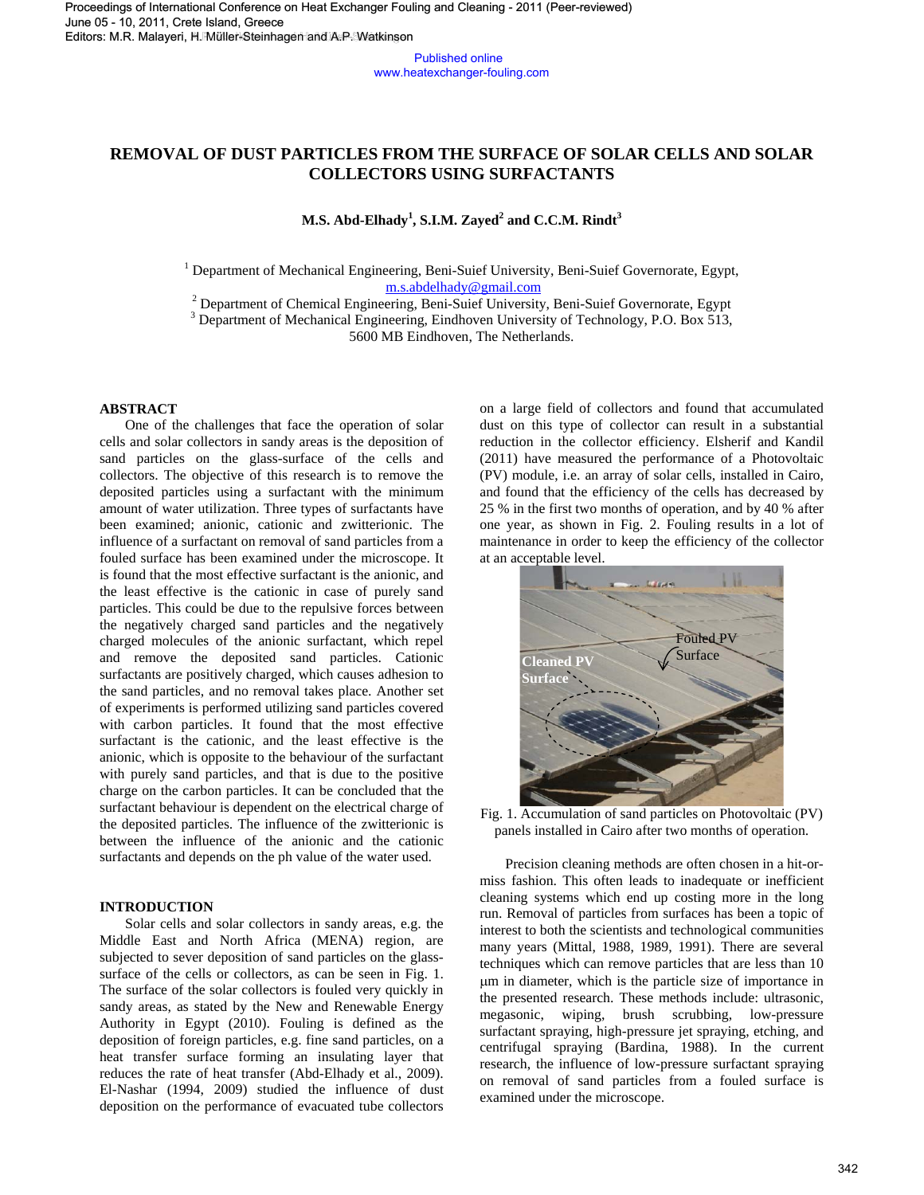Published online www.heatexchanger-fouling.com

# **REMOVAL OF DUST PARTICLES FROM THE SURFACE OF SOLAR CELLS AND SOLAR COLLECTORS USING SURFACTANTS**

# **M.S. Abd-Elhady<sup>1</sup> , S.I.M. Zayed<sup>2</sup> and C.C.M. Rindt<sup>3</sup>**

<sup>1</sup> Department of Mechanical Engineering, Beni-Suief University, Beni-Suief Governorate, Egypt, m.s.abdelhady@gmail.com

<sup>2</sup> Department of Chemical Engineering, Beni-Suief University, Beni-Suief Governorate, Egypt

<sup>3</sup> Department of Mechanical Engineering, Eindhoven University of Technology, P.O. Box 513,

5600 MB Eindhoven, The Netherlands.

#### **ABSTRACT**

 One of the challenges that face the operation of solar cells and solar collectors in sandy areas is the deposition of sand particles on the glass-surface of the cells and collectors. The objective of this research is to remove the deposited particles using a surfactant with the minimum amount of water utilization. Three types of surfactants have been examined; anionic, cationic and zwitterionic. The influence of a surfactant on removal of sand particles from a fouled surface has been examined under the microscope. It is found that the most effective surfactant is the anionic, and the least effective is the cationic in case of purely sand particles. This could be due to the repulsive forces between the negatively charged sand particles and the negatively charged molecules of the anionic surfactant, which repel and remove the deposited sand particles. Cationic surfactants are positively charged, which causes adhesion to the sand particles, and no removal takes place. Another set of experiments is performed utilizing sand particles covered with carbon particles. It found that the most effective surfactant is the cationic, and the least effective is the anionic, which is opposite to the behaviour of the surfactant with purely sand particles, and that is due to the positive charge on the carbon particles. It can be concluded that the surfactant behaviour is dependent on the electrical charge of the deposited particles. The influence of the zwitterionic is between the influence of the anionic and the cationic surfactants and depends on the ph value of the water used. At Using the FIRST PARTICLES FROM THE SURFACE OF SOLAR CELLS AND SOLAR CONSUMER CONSUMER CONSUMER CONSUMER CONSUMER CONSUMER CONSUMER CONSUMER CONSUMER CONSUMER CONSUMER CONSUMER CONSUMER CONSUMER CONSUMER CONSUMER CONSUM

# **INTRODUCTION**

Solar cells and solar collectors in sandy areas, e.g. the Middle East and North Africa (MENA) region, are subjected to sever deposition of sand particles on the glasssurface of the cells or collectors, as can be seen in Fig. 1. The surface of the solar collectors is fouled very quickly in sandy areas, as stated by the New and Renewable Energy Authority in Egypt (2010). Fouling is defined as the deposition of foreign particles, e.g. fine sand particles, on a heat transfer surface forming an insulating layer that reduces the rate of heat transfer (Abd-Elhady et al., 2009). El-Nashar (1994, 2009) studied the influence of dust deposition on the performance of evacuated tube collectors

on a large field of collectors and found that accumulated dust on this type of collector can result in a substantial reduction in the collector efficiency. Elsherif and Kandil (2011) have measured the performance of a Photovoltaic (PV) module, i.e. an array of solar cells, installed in Cairo, and found that the efficiency of the cells has decreased by 25 % in the first two months of operation, and by 40 % after one year, as shown in Fig. 2. Fouling results in a lot of maintenance in order to keep the efficiency of the collector at an acceptable level.



Fig. 1. Accumulation of sand particles on Photovoltaic (PV) panels installed in Cairo after two months of operation.

Precision cleaning methods are often chosen in a hit-ormiss fashion. This often leads to inadequate or inefficient cleaning systems which end up costing more in the long run. Removal of particles from surfaces has been a topic of interest to both the scientists and technological communities many years (Mittal, 1988, 1989, 1991). There are several techniques which can remove particles that are less than 10 µm in diameter, which is the particle size of importance in the presented research. These methods include: ultrasonic, megasonic, wiping, brush scrubbing, low-pressure surfactant spraying, high-pressure jet spraying, etching, and centrifugal spraying (Bardina, 1988). In the current research, the influence of low-pressure surfactant spraying on removal of sand particles from a fouled surface is examined under the microscope.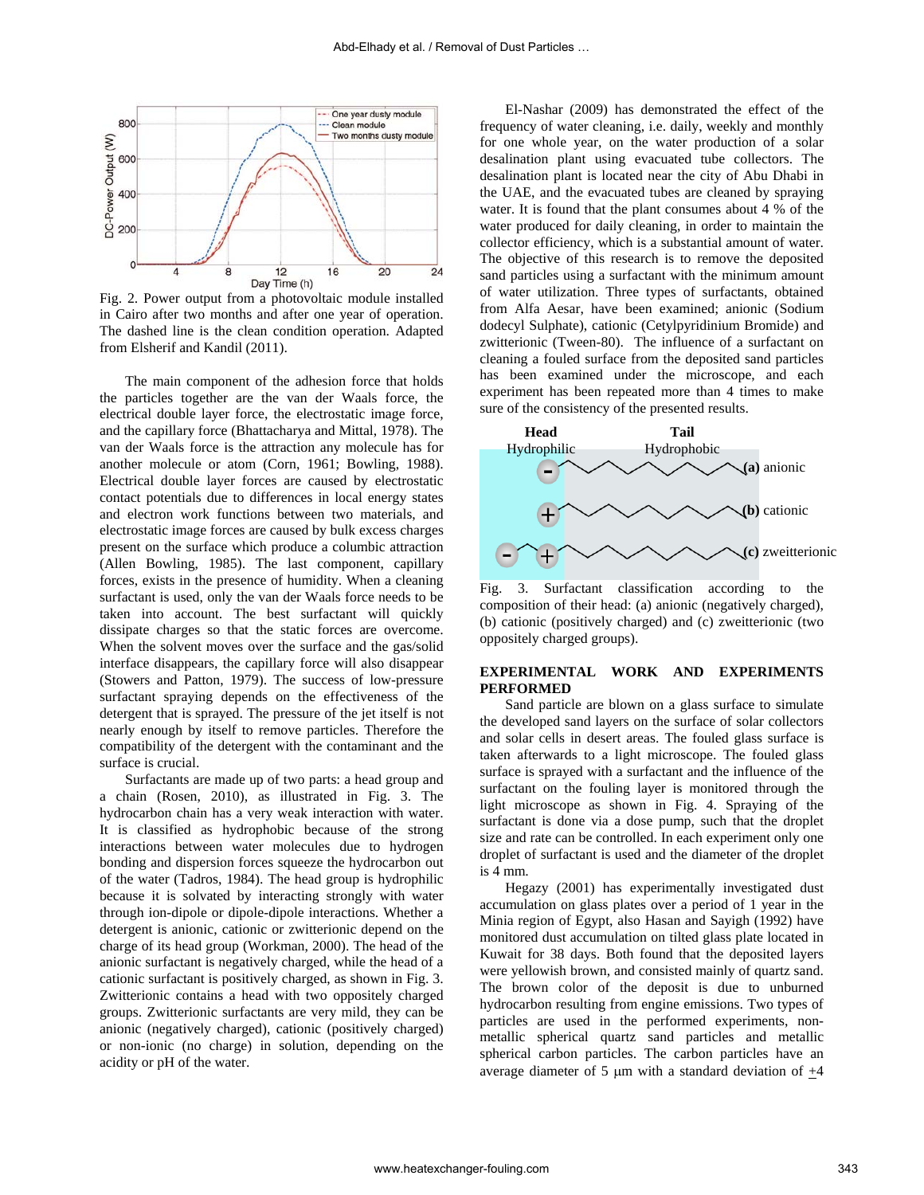

Fig. 2. Power output from a photovoltaic module installed in Cairo after two months and after one year of operation. The dashed line is the clean condition operation. Adapted from Elsherif and Kandil (2011).

The main component of the adhesion force that holds the particles together are the van der Waals force, the electrical double layer force, the electrostatic image force, and the capillary force (Bhattacharya and Mittal, 1978). The van der Waals force is the attraction any molecule has for another molecule or atom (Corn, 1961; Bowling, 1988). Electrical double layer forces are caused by electrostatic contact potentials due to differences in local energy states and electron work functions between two materials, and electrostatic image forces are caused by bulk excess charges present on the surface which produce a columbic attraction (Allen Bowling, 1985). The last component, capillary forces, exists in the presence of humidity. When a cleaning surfactant is used, only the van der Waals force needs to be taken into account. The best surfactant will quickly dissipate charges so that the static forces are overcome. When the solvent moves over the surface and the gas/solid interface disappears, the capillary force will also disappear (Stowers and Patton, 1979). The success of low-pressure surfactant spraying depends on the effectiveness of the detergent that is sprayed. The pressure of the jet itself is not nearly enough by itself to remove particles. Therefore the compatibility of the detergent with the contaminant and the surface is crucial.

Surfactants are made up of two parts: a head group and a chain (Rosen, 2010), as illustrated in Fig. 3. The hydrocarbon chain has a very weak interaction with water. It is classified as hydrophobic because of the strong interactions between water molecules due to hydrogen bonding and dispersion forces squeeze the hydrocarbon out of the water (Tadros, 1984). The head group is hydrophilic because it is solvated by interacting strongly with water through ion-dipole or dipole-dipole interactions. Whether a detergent is anionic, cationic or zwitterionic depend on the charge of its head group (Workman, 2000). The head of the anionic surfactant is negatively charged, while the head of a cationic surfactant is positively charged, as shown in Fig. 3. Zwitterionic contains a head with two oppositely charged groups. Zwitterionic surfactants are very mild, they can be anionic (negatively charged), cationic (positively charged) or non-ionic (no charge) in solution, depending on the acidity or pH of the water.

El-Nashar (2009) has demonstrated the effect of the frequency of water cleaning, i.e. daily, weekly and monthly for one whole year, on the water production of a solar desalination plant using evacuated tube collectors. The desalination plant is located near the city of Abu Dhabi in the UAE, and the evacuated tubes are cleaned by spraying water. It is found that the plant consumes about 4 % of the water produced for daily cleaning, in order to maintain the collector efficiency, which is a substantial amount of water. The objective of this research is to remove the deposited sand particles using a surfactant with the minimum amount of water utilization. Three types of surfactants, obtained from Alfa Aesar, have been examined; anionic (Sodium dodecyl Sulphate), cationic (Cetylpyridinium Bromide) and zwitterionic (Tween-80). The influence of a surfactant on cleaning a fouled surface from the deposited sand particles has been examined under the microscope, and each experiment has been repeated more than 4 times to make sure of the consistency of the presented results. Abd-Elhady of al. / Removal of Dust Particles (2007) has demonstrated the state of dust Particles and the state of the state of the state of the state of the state of the state of the state of the state of the state of th



Fig. 3. Surfactant classification according to the composition of their head: (a) anionic (negatively charged), (b) cationic (positively charged) and (c) zweitterionic (two oppositely charged groups).

### **EXPERIMENTAL WORK AND EXPERIMENTS PERFORMED**

Sand particle are blown on a glass surface to simulate the developed sand layers on the surface of solar collectors and solar cells in desert areas. The fouled glass surface is taken afterwards to a light microscope. The fouled glass surface is sprayed with a surfactant and the influence of the surfactant on the fouling layer is monitored through the light microscope as shown in Fig. 4. Spraying of the surfactant is done via a dose pump, such that the droplet size and rate can be controlled. In each experiment only one droplet of surfactant is used and the diameter of the droplet is 4 mm.

Hegazy (2001) has experimentally investigated dust accumulation on glass plates over a period of 1 year in the Minia region of Egypt, also Hasan and Sayigh (1992) have monitored dust accumulation on tilted glass plate located in Kuwait for 38 days. Both found that the deposited layers were yellowish brown, and consisted mainly of quartz sand. The brown color of the deposit is due to unburned hydrocarbon resulting from engine emissions. Two types of particles are used in the performed experiments, nonmetallic spherical quartz sand particles and metallic spherical carbon particles. The carbon particles have an average diameter of 5  $\mu$ m with a standard deviation of  $+4$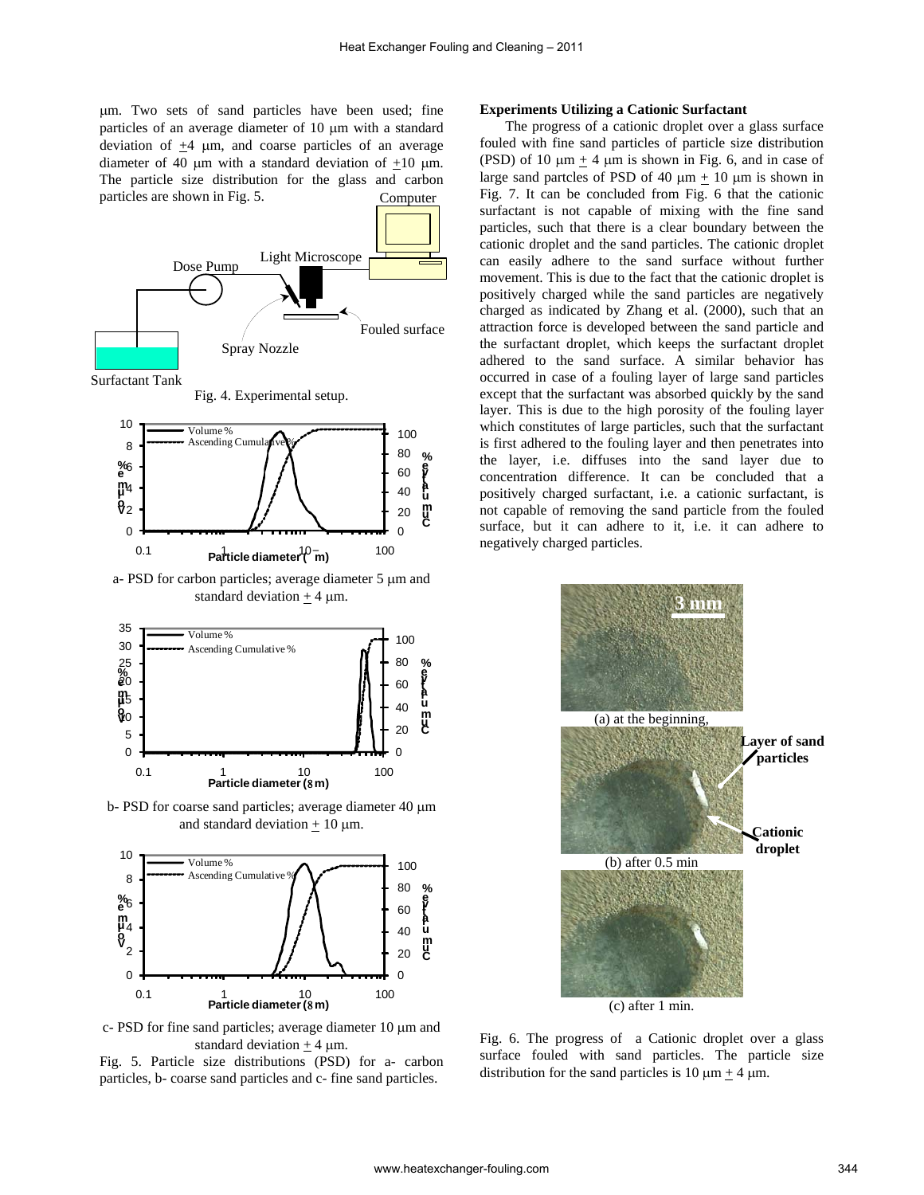µm. Two sets of sand particles have been used; fine particles of an average diameter of 10 µm with a standard deviation of  $\pm 4$  µm, and coarse particles of an average diameter of 40  $\mu$ m with a standard deviation of +10  $\mu$ m. The particle size distribution for the glass and carbon particles are shown in Fig. 5. Computer



Fig. 4. Experimental setup.



a- PSD for carbon particles; average diameter 5 µm and standard deviation  $+4 \mu m$ .



b- PSD for coarse sand particles; average diameter 40 µm and standard deviation  $+10 \mu m$ .



c- PSD for fine sand particles; average diameter 10 µm and standard deviation  $+$  4  $\mu$ m.

Fig. 5. Particle size distributions (PSD) for a- carbon particles, b- coarse sand particles and c- fine sand particles.

#### **Experiments Utilizing a Cationic Surfactant**

The progress of a cationic droplet over a glass surface fouled with fine sand particles of particle size distribution (PSD) of 10  $\mu$ m + 4  $\mu$ m is shown in Fig. 6, and in case of large sand partcles of PSD of 40  $\mu$ m + 10  $\mu$ m is shown in Fig. 7. It can be concluded from Fig. 6 that the cationic surfactant is not capable of mixing with the fine sand particles, such that there is a clear boundary between the cationic droplet and the sand particles. The cationic droplet can easily adhere to the sand surface without further movement. This is due to the fact that the cationic droplet is positively charged while the sand particles are negatively charged as indicated by Zhang et al. (2000), such that an attraction force is developed between the sand particle and the surfactant droplet, which keeps the surfactant droplet adhered to the sand surface. A similar behavior has occurred in case of a fouling layer of large sand particles except that the surfactant was absorbed quickly by the sand layer. This is due to the high porosity of the fouling layer which constitutes of large particles, such that the surfactant is first adhered to the fouling layer and then penetrates into the layer, i.e. diffuses into the sand layer due to concentration difference. It can be concluded that a positively charged surfactant, i.e. a cationic surfactant, is not capable of removing the sand particle from the fouled surface, but it can adhere to it, i.e. it can adhere to negatively charged particles.



Fig. 6. The progress of a Cationic droplet over a glass surface fouled with sand particles. The particle size distribution for the sand particles is  $10 \text{ µm} + 4 \text{ µm}$ .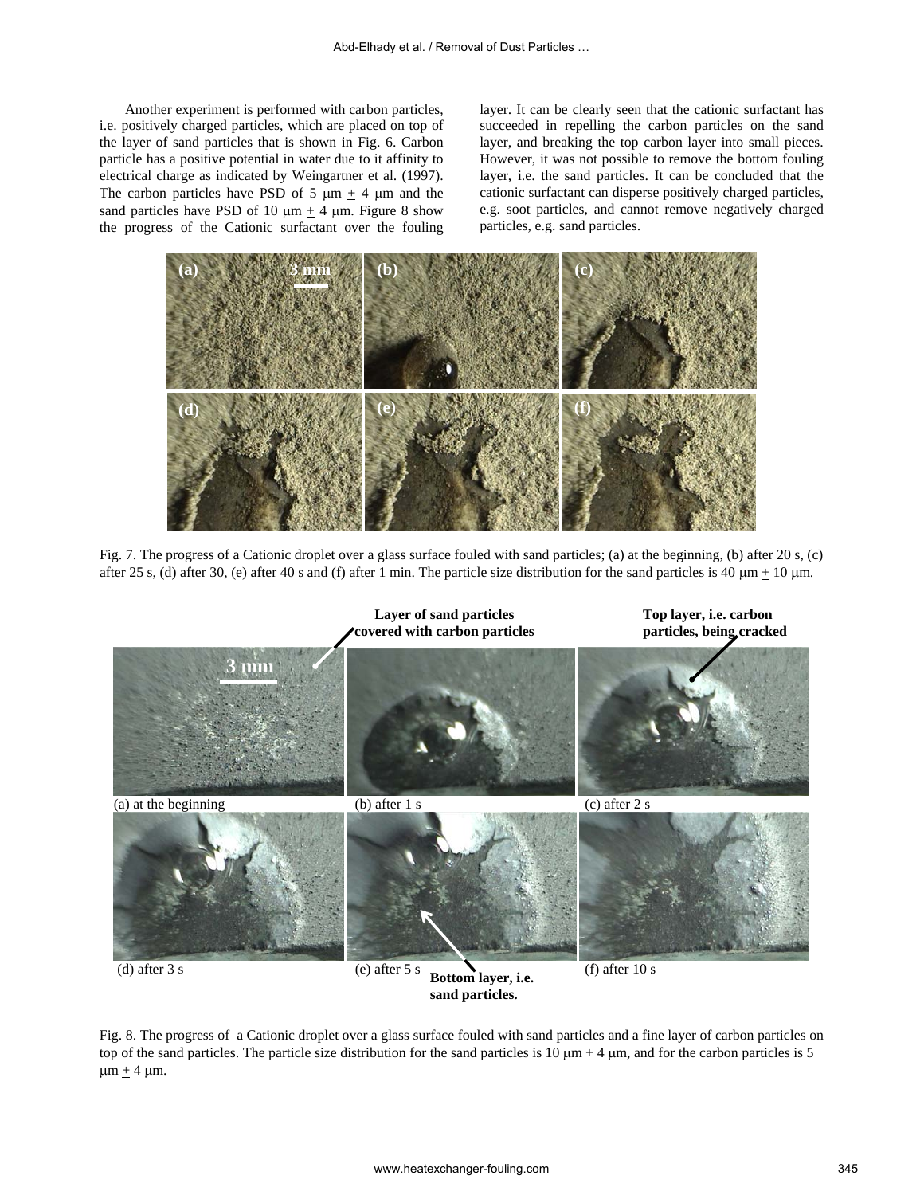Another experiment is performed with carbon particles, i.e. positively charged particles, which are placed on top of the layer of sand particles that is shown in Fig. 6. Carbon particle has a positive potential in water due to it affinity to electrical charge as indicated by Weingartner et al. (1997). The carbon particles have PSD of 5  $\mu$ m  $\pm$  4  $\mu$ m and the sand particles have PSD of 10  $\mu$ m + 4  $\mu$ m. Figure 8 show the progress of the Cationic surfactant over the fouling

layer. It can be clearly seen that the cationic surfactant has succeeded in repelling the carbon particles on the sand layer, and breaking the top carbon layer into small pieces. However, it was not possible to remove the bottom fouling layer, i.e. the sand particles. It can be concluded that the cationic surfactant can disperse positively charged particles, e.g. soot particles, and cannot remove negatively charged particles, e.g. sand particles.



Fig. 7. The progress of a Cationic droplet over a glass surface fouled with sand particles; (a) at the beginning, (b) after 20 s, (c) after 25 s, (d) after 30, (e) after 40 s and (f) after 1 min. The particle size distribution for the sand particles is 40  $\mu$ m  $\pm$  10  $\mu$ m.



Fig. 8. The progress of a Cationic droplet over a glass surface fouled with sand particles and a fine layer of carbon particles on top of the sand particles. The particle size distribution for the sand particles is 10  $\mu$ m  $\pm$  4  $\mu$ m, and for the carbon particles is 5  $\mu$ m  $\pm$  4  $\mu$ m.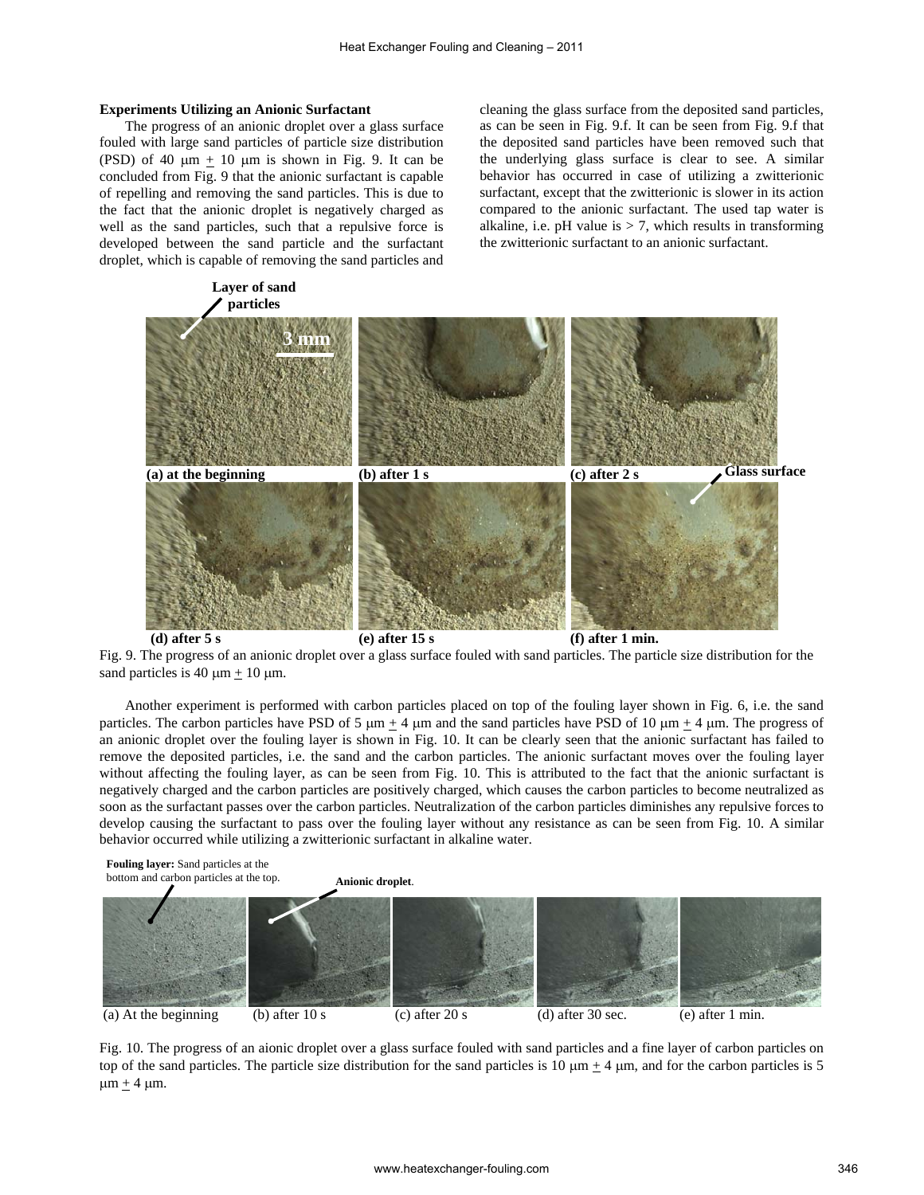#### **Experiments Utilizing an Anionic Surfactant**

The progress of an anionic droplet over a glass surface fouled with large sand particles of particle size distribution (PSD) of 40  $\mu$ m + 10  $\mu$ m is shown in Fig. 9. It can be concluded from Fig. 9 that the anionic surfactant is capable of repelling and removing the sand particles. This is due to the fact that the anionic droplet is negatively charged as well as the sand particles, such that a repulsive force is developed between the sand particle and the surfactant droplet, which is capable of removing the sand particles and

cleaning the glass surface from the deposited sand particles, as can be seen in Fig. 9.f. It can be seen from Fig. 9.f that the deposited sand particles have been removed such that the underlying glass surface is clear to see. A similar behavior has occurred in case of utilizing a zwitterionic surfactant, except that the zwitterionic is slower in its action compared to the anionic surfactant. The used tap water is alkaline, i.e. pH value is  $> 7$ , which results in transforming the zwitterionic surfactant to an anionic surfactant.

![](_page_4_Figure_4.jpeg)

Fig. 9. The progress of an anionic droplet over a glass surface fouled with sand particles. The particle size distribution for the sand particles is 40  $\mu$ m + 10  $\mu$ m.

Another experiment is performed with carbon particles placed on top of the fouling layer shown in Fig. 6, i.e. the sand particles. The carbon particles have PSD of 5  $\mu$ m  $\pm$  4  $\mu$ m and the sand particles have PSD of 10  $\mu$ m  $\pm$  4  $\mu$ m. The progress of an anionic droplet over the fouling layer is shown in Fig. 10. It can be clearly seen that the anionic surfactant has failed to remove the deposited particles, i.e. the sand and the carbon particles. The anionic surfactant moves over the fouling layer without affecting the fouling layer, as can be seen from Fig. 10. This is attributed to the fact that the anionic surfactant is negatively charged and the carbon particles are positively charged, which causes the carbon particles to become neutralized as soon as the surfactant passes over the carbon particles. Neutralization of the carbon particles diminishes any repulsive forces to develop causing the surfactant to pass over the fouling layer without any resistance as can be seen from Fig. 10. A similar behavior occurred while utilizing a zwitterionic surfactant in alkaline water.

![](_page_4_Figure_7.jpeg)

Fig. 10. The progress of an aionic droplet over a glass surface fouled with sand particles and a fine layer of carbon particles on top of the sand particles. The particle size distribution for the sand particles is 10  $\mu$ m  $\pm$  4  $\mu$ m, and for the carbon particles is 5  $\mu$ m + 4  $\mu$ m.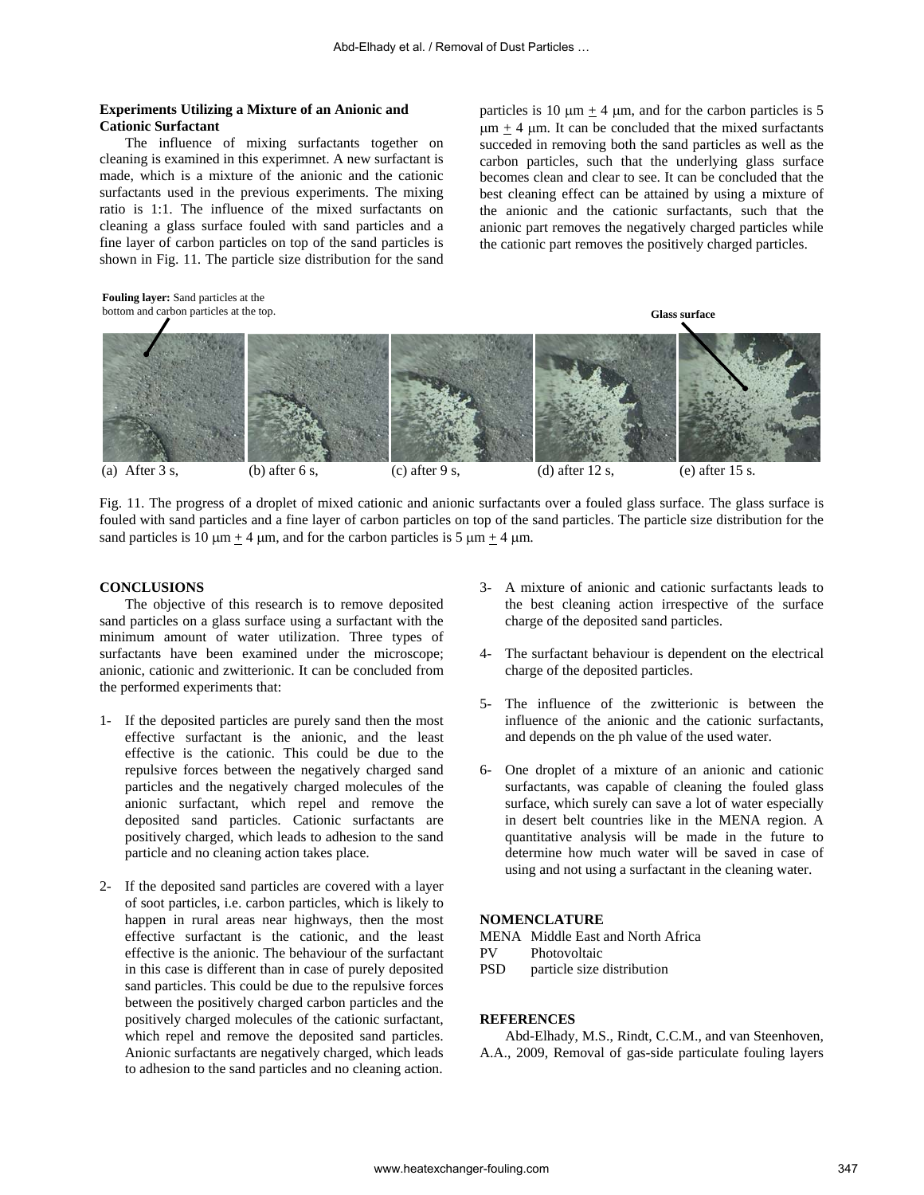# **Experiments Utilizing a Mixture of an Anionic and Cationic Surfactant**

The influence of mixing surfactants together on cleaning is examined in this experimnet. A new surfactant is made, which is a mixture of the anionic and the cationic surfactants used in the previous experiments. The mixing ratio is 1:1. The influence of the mixed surfactants on cleaning a glass surface fouled with sand particles and a fine layer of carbon particles on top of the sand particles is shown in Fig. 11. The particle size distribution for the sand

particles is 10  $\mu$ m + 4  $\mu$ m, and for the carbon particles is 5  $\mu$ m + 4  $\mu$ m. It can be concluded that the mixed surfactants succeded in removing both the sand particles as well as the carbon particles, such that the underlying glass surface becomes clean and clear to see. It can be concluded that the best cleaning effect can be attained by using a mixture of the anionic and the cationic surfactants, such that the anionic part removes the negatively charged particles while the cationic part removes the positively charged particles.

![](_page_5_Figure_4.jpeg)

Fig. 11. The progress of a droplet of mixed cationic and anionic surfactants over a fouled glass surface. The glass surface is fouled with sand particles and a fine layer of carbon particles on top of the sand particles. The particle size distribution for the sand particles is 10  $\mu$ m + 4  $\mu$ m, and for the carbon particles is 5  $\mu$ m + 4  $\mu$ m.

### **CONCLUSIONS**

The objective of this research is to remove deposited sand particles on a glass surface using a surfactant with the minimum amount of water utilization. Three types of surfactants have been examined under the microscope; anionic, cationic and zwitterionic. It can be concluded from the performed experiments that:

- 1- If the deposited particles are purely sand then the most effective surfactant is the anionic, and the least effective is the cationic. This could be due to the repulsive forces between the negatively charged sand particles and the negatively charged molecules of the anionic surfactant, which repel and remove the deposited sand particles. Cationic surfactants are positively charged, which leads to adhesion to the sand particle and no cleaning action takes place.
- 2- If the deposited sand particles are covered with a layer of soot particles, i.e. carbon particles, which is likely to happen in rural areas near highways, then the most effective surfactant is the cationic, and the least effective is the anionic. The behaviour of the surfactant in this case is different than in case of purely deposited sand particles. This could be due to the repulsive forces between the positively charged carbon particles and the positively charged molecules of the cationic surfactant, which repel and remove the deposited sand particles. Anionic surfactants are negatively charged, which leads to adhesion to the sand particles and no cleaning action.
- 3- A mixture of anionic and cationic surfactants leads to the best cleaning action irrespective of the surface charge of the deposited sand particles.
- 4- The surfactant behaviour is dependent on the electrical charge of the deposited particles.
- 5- The influence of the zwitterionic is between the influence of the anionic and the cationic surfactants, and depends on the ph value of the used water.
- 6- One droplet of a mixture of an anionic and cationic surfactants, was capable of cleaning the fouled glass surface, which surely can save a lot of water especially in desert belt countries like in the MENA region. A quantitative analysis will be made in the future to determine how much water will be saved in case of using and not using a surfactant in the cleaning water.

# **NOMENCLATURE**

- MENA Middle East and North Africa
- PV Photovoltaic
- PSD particle size distribution

#### **REFERENCES**

Abd-Elhady, M.S., Rindt, C.C.M., and van Steenhoven, A.A., 2009, Removal of gas-side particulate fouling layers